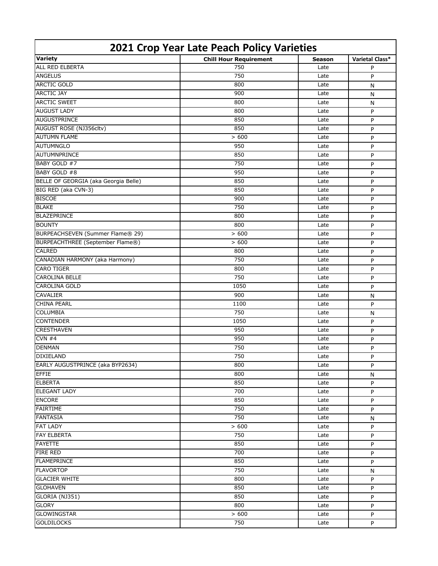| 2021 Crop Year Late Peach Policy Varieties |                               |               |                 |  |
|--------------------------------------------|-------------------------------|---------------|-----------------|--|
| <b>Variety</b>                             | <b>Chill Hour Requirement</b> | <b>Season</b> | Varietal Class* |  |
| <b>ALL RED ELBERTA</b>                     | 750                           | Late          | P               |  |
| <b>ANGELUS</b>                             | 750                           | Late          | P               |  |
| <b>ARCTIC GOLD</b>                         | 800                           | Late          | N               |  |
| <b>ARCTIC JAY</b>                          | 900                           | Late          | N               |  |
| <b>ARCTIC SWEET</b>                        | 800                           | Late          | N               |  |
| <b>AUGUST LADY</b>                         | 800                           | Late          | P               |  |
| <b>AUGUSTPRINCE</b>                        | 850                           | Late          | P               |  |
| AUGUST ROSE (NJ356cltv)                    | 850                           | Late          | P               |  |
| <b>AUTUMN FLAME</b>                        | > 600                         | Late          | P               |  |
| <b>AUTUMNGLO</b>                           | 950                           | Late          | P               |  |
| AUTUMNPRINCE                               | 850                           | Late          | P               |  |
| BABY GOLD #7                               | 750                           | Late          | P               |  |
| BABY GOLD #8                               | 950                           | Late          | P               |  |
| BELLE OF GEORGIA (aka Georgia Belle)       | 850                           | Late          | P               |  |
| BIG RED (aka CVN-3)                        | 850                           | Late          | P               |  |
| <b>BISCOE</b>                              | 900                           | Late          | P               |  |
| <b>BLAKE</b>                               | 750                           | Late          | P               |  |
| <b>BLAZEPRINCE</b>                         | 800                           | Late          | P               |  |
| <b>BOUNTY</b>                              | 800                           | Late          | P               |  |
| BURPEACHSEVEN (Summer Flame® 29)           | > 600                         | Late          | P               |  |
| BURPEACHTHREE (September Flame®)           | > 600                         | Late          | P               |  |
| <b>CALRED</b>                              | 800                           | Late          | P               |  |
| CANADIAN HARMONY (aka Harmony)             | 750                           | Late          | P               |  |
| <b>CARO TIGER</b>                          | 800                           | Late          | P               |  |
| <b>CAROLINA BELLE</b>                      | 750                           | Late          | P               |  |
| <b>CAROLINA GOLD</b>                       | 1050                          | Late          | P               |  |
| <b>CAVALIER</b>                            | 900                           | Late          | N               |  |
| <b>CHINA PEARL</b>                         | 1100                          | Late          | P               |  |
| <b>COLUMBIA</b>                            | 750                           | Late          | N               |  |
| <b>CONTENDER</b>                           | 1050                          | Late          | P               |  |
| <b>CRESTHAVEN</b>                          | 950                           | Late          | P               |  |
| CVN#4                                      | 950                           | Late          | P               |  |
| <b>DENMAN</b>                              | 750                           | Late          | P               |  |
| <b>DIXIELAND</b>                           | 750                           | Late          | P               |  |
| EARLY AUGUSTPRINCE (aka BYP2634)           | 800                           | Late          | P               |  |
| <b>EFFIE</b>                               | 800                           | Late          | N               |  |
| <b>ELBERTA</b>                             | 850                           | Late          | P               |  |
| <b>ELEGANT LADY</b>                        | 700                           | Late          | P               |  |
| <b>ENCORE</b>                              | 850                           | Late          | P               |  |
| <b>FAIRTIME</b>                            | 750                           | Late          | P               |  |
| <b>FANTASIA</b>                            | 750                           | Late          | N               |  |
| <b>FAT LADY</b>                            | > 600                         | Late          | P               |  |
| <b>FAY ELBERTA</b>                         | 750                           | Late          | P               |  |
| <b>FAYETTE</b>                             | 850                           | Late          | P               |  |
| <b>FIRE RED</b>                            | 700                           | Late          | P               |  |
| <b>FLAMEPRINCE</b>                         | 850                           | Late          | P               |  |
| <b>FLAVORTOP</b>                           | 750                           | Late          | N               |  |
| <b>GLACIER WHITE</b>                       | 800                           | Late          | P               |  |
| <b>GLOHAVEN</b>                            | 850                           | Late          | P               |  |
| GLORIA (NJ351)                             | 850                           | Late          | P               |  |
| <b>GLORY</b>                               | 800                           | Late          | P               |  |
| <b>GLOWINGSTAR</b>                         | > 600                         | Late          | P               |  |
| <b>GOLDILOCKS</b>                          | 750                           | Late          | P               |  |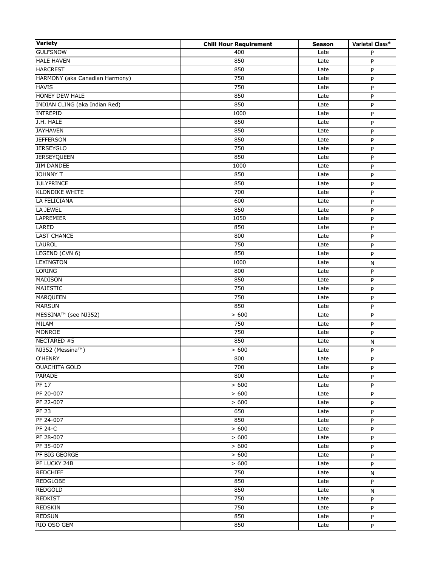| <b>Variety</b>                   | <b>Chill Hour Requirement</b> | <b>Season</b> | Varietal Class* |
|----------------------------------|-------------------------------|---------------|-----------------|
| <b>GULFSNOW</b>                  | 400                           | Late          | P               |
| <b>HALE HAVEN</b>                | 850                           | Late          | P               |
| <b>HARCREST</b>                  | 850                           | Late          | P               |
| HARMONY (aka Canadian Harmony)   | 750                           | Late          | P               |
| <b>HAVIS</b>                     | 750                           | Late          | P               |
| HONEY DEW HALE                   | 850                           | Late          | P               |
| INDIAN CLING (aka Indian Red)    | 850                           | Late          | P               |
| <b>INTREPID</b>                  | 1000                          | Late          | P               |
| J.H. HALE                        | 850                           | Late          | P               |
| <b>JAYHAVEN</b>                  | 850                           | Late          | P               |
| <b>JEFFERSON</b>                 | 850                           | Late          | P               |
| <b>JERSEYGLO</b>                 | 750                           | Late          | P               |
| <b>JERSEYQUEEN</b>               | 850                           | Late          | P               |
| <b>JIM DANDEE</b>                | 1000                          | Late          | P               |
| <b>JOHNNY T</b>                  | 850                           | Late          | P               |
| <b>JULYPRINCE</b>                | 850                           | Late          | P               |
| <b>KLONDIKE WHITE</b>            | 700                           | Late          | P               |
| LA FELICIANA                     | 600                           | Late          | P               |
| LA JEWEL                         | 850                           | Late          | P               |
| LAPREMIER                        | 1050                          | Late          | P               |
| LARED                            | 850                           | Late          | P               |
| <b>LAST CHANCE</b>               | 800                           | Late          | P               |
| <b>LAUROL</b>                    | 750                           | Late          | P               |
| LEGEND (CVN 6)                   | 850                           | Late          | P               |
| <b>LEXINGTON</b>                 | 1000                          | Late          | N               |
| <b>LORING</b>                    | 800                           | Late          | P               |
| <b>MADISON</b>                   | 850                           | Late          | P               |
| <b>MAJESTIC</b>                  | 750                           | Late          | P               |
| <b>MARQUEEN</b>                  | 750                           | Late          | P               |
| <b>MARSUN</b>                    | 850                           | Late          | P               |
| MESSINA <sup>™</sup> (see NJ352) | >600                          | Late          | P               |
| <b>MILAM</b>                     | 750                           | Late          | P               |
| <b>MONROE</b>                    | 750                           | Late          | P               |
| NECTARED #5                      | 850                           | Late          | $\mathsf{N}$    |
| NJ352 (Messina™)                 | > 600                         | Late          | P               |
| O'HENRY                          | 800                           | Late          | P               |
| <b>OUACHITA GOLD</b>             | 700                           | Late          | P               |
| <b>PARADE</b>                    | 800                           | Late          | P               |
| PF17                             | > 600                         | Late          | P               |
| PF 20-007                        | > 600                         | Late          | P               |
| PF 22-007                        | > 600                         | Late          | P               |
| <b>PF 23</b>                     | 650                           | Late          | P               |
| PF 24-007                        | 850                           | Late          | P               |
| <b>PF 24-C</b>                   | > 600                         | Late          | P               |
| PF 28-007                        | > 600                         | Late          | P               |
| PF 35-007                        | > 600                         | Late          | P               |
| PF BIG GEORGE                    | > 600                         | Late          | P               |
| PF LUCKY 24B                     | > 600                         | Late          | P               |
| <b>REDCHIEF</b>                  | 750                           | Late          | N               |
| <b>REDGLOBE</b>                  | 850                           | Late          | P               |
| <b>REDGOLD</b>                   | 850                           | Late          | N               |
| <b>REDKIST</b>                   | 750                           | Late          | P               |
| <b>REDSKIN</b>                   | 750                           | Late          | P               |
| <b>REDSUN</b>                    | 850                           | Late          | P               |
| RIO OSO GEM                      | 850                           | Late          | P               |